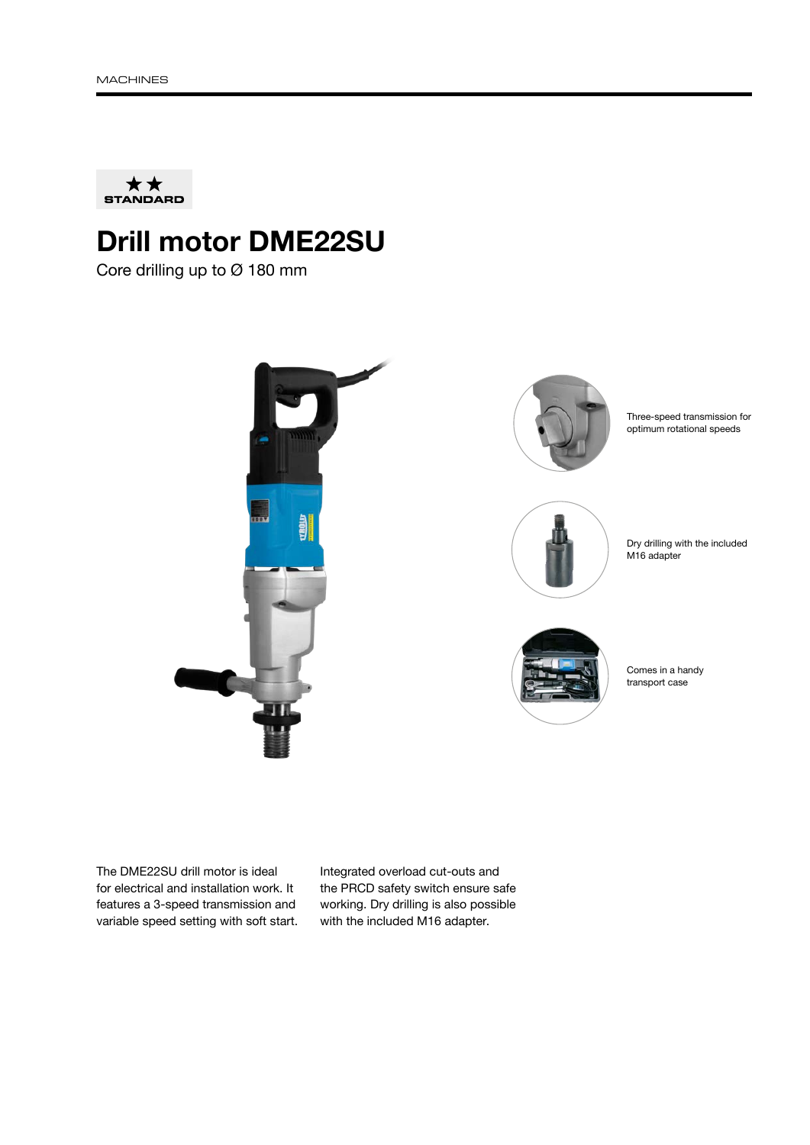

## Drill motor DME22SU

Core drilling up to Ø 180 mm



The DME22SU drill motor is ideal for electrical and installation work. It features a 3-speed transmission and variable speed setting with soft start. Integrated overload cut-outs and the PRCD safety switch ensure safe working. Dry drilling is also possible with the included M16 adapter.